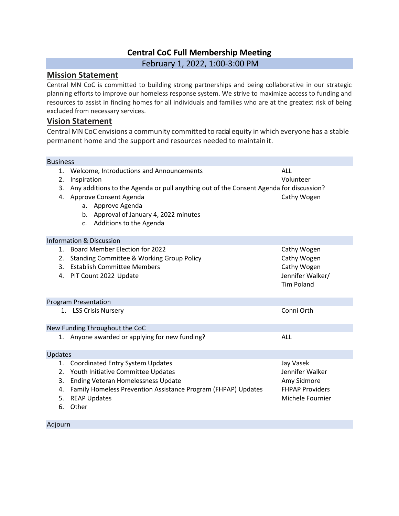## **Central CoC Full Membership Meeting**

February 1, 2022, 1:00-3:00 PM

## **Mission Statement**

Central MN CoC is committed to building strong partnerships and being collaborative in our strategic planning efforts to improve our homeless response system. We strive to maximize access to funding and resources to assist in finding homes for all individuals and families who are at the greatest risk of being excluded from necessary services.

## **Vision Statement**

Central MN CoC envisions a community committed to racialequity in which everyone has a stable permanent home and the support and resources needed to maintain it.

## Business

Adjourn

| 1.<br>2.<br>3.             | Welcome, Introductions and Announcements<br>Inspiration<br>Any additions to the Agenda or pull anything out of the Consent Agenda for discussion?<br>4. Approve Consent Agenda<br>a. Approve Agenda<br>b. Approval of January 4, 2022 minutes<br>c. Additions to the Agenda | ALL<br>Volunteer<br>Cathy Wogen                                                           |
|----------------------------|-----------------------------------------------------------------------------------------------------------------------------------------------------------------------------------------------------------------------------------------------------------------------------|-------------------------------------------------------------------------------------------|
|                            | <b>Information &amp; Discussion</b>                                                                                                                                                                                                                                         |                                                                                           |
| 2.                         | 1. Board Member Election for 2022<br><b>Standing Committee &amp; Working Group Policy</b><br>3. Establish Committee Members<br>4. PIT Count 2022 Update                                                                                                                     | Cathy Wogen<br>Cathy Wogen<br>Cathy Wogen<br>Jennifer Walker/<br><b>Tim Poland</b>        |
|                            | <b>Program Presentation</b>                                                                                                                                                                                                                                                 |                                                                                           |
|                            | 1. LSS Crisis Nursery                                                                                                                                                                                                                                                       | Conni Orth                                                                                |
|                            | New Funding Throughout the CoC                                                                                                                                                                                                                                              |                                                                                           |
|                            | 1. Anyone awarded or applying for new funding?                                                                                                                                                                                                                              | ALL                                                                                       |
| <b>Updates</b>             |                                                                                                                                                                                                                                                                             |                                                                                           |
| 1.<br>2.<br>3.<br>5.<br>6. | <b>Coordinated Entry System Updates</b><br>Youth Initiative Committee Updates<br>Ending Veteran Homelessness Update<br>4. Family Homeless Prevention Assistance Program (FHPAP) Updates<br><b>REAP Updates</b><br>Other                                                     | Jay Vasek<br>Jennifer Walker<br>Amy Sidmore<br><b>FHPAP Providers</b><br>Michele Fournier |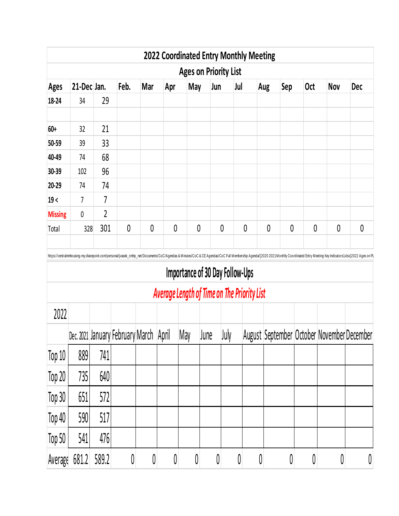|                |             |                |                                        |              |           |              |                                 |           | <b>2022 Coordinated Entry Monthly Meeting</b> |     |              |            |                                                                                                                                                                                                                               |                  |
|----------------|-------------|----------------|----------------------------------------|--------------|-----------|--------------|---------------------------------|-----------|-----------------------------------------------|-----|--------------|------------|-------------------------------------------------------------------------------------------------------------------------------------------------------------------------------------------------------------------------------|------------------|
|                |             |                |                                        |              |           |              | <b>Ages on Priority List</b>    |           |                                               |     |              |            |                                                                                                                                                                                                                               |                  |
| <b>Ages</b>    | 21-Dec Jan. |                | Feb.                                   | Mar          | Apr       | May          | Jun                             | Jul       |                                               | Aug | Sep          | <b>Oct</b> | <b>Nov</b>                                                                                                                                                                                                                    | <b>Dec</b>       |
| 18-24          | 34          | 29             |                                        |              |           |              |                                 |           |                                               |     |              |            |                                                                                                                                                                                                                               |                  |
| 60+            | 32          | 21             |                                        |              |           |              |                                 |           |                                               |     |              |            |                                                                                                                                                                                                                               |                  |
| 50-59          | 39          | 33             |                                        |              |           |              |                                 |           |                                               |     |              |            |                                                                                                                                                                                                                               |                  |
| 40-49          | 74          | 68             |                                        |              |           |              |                                 |           |                                               |     |              |            |                                                                                                                                                                                                                               |                  |
| 30-39          | 102         | 96             |                                        |              |           |              |                                 |           |                                               |     |              |            |                                                                                                                                                                                                                               |                  |
| 20-29          | 74          | 74             |                                        |              |           |              |                                 |           |                                               |     |              |            |                                                                                                                                                                                                                               |                  |
| 19<            | 7           | 7              |                                        |              |           |              |                                 |           |                                               |     |              |            |                                                                                                                                                                                                                               |                  |
| <b>Missing</b> | 0           | $\overline{2}$ |                                        |              |           |              |                                 |           |                                               |     |              |            |                                                                                                                                                                                                                               |                  |
| Total          | 328         | 301            | 0                                      | 0            | 0         | $\mathbf{0}$ |                                 | 0         | 0                                             | 0   | $\mathbf{0}$ | 0          | 0                                                                                                                                                                                                                             | $\boldsymbol{0}$ |
|                |             |                |                                        |              |           |              |                                 |           |                                               |     |              |            | https://centralmnhousing-my.sharepoint.com/personal/jvasek_cmhp_net/Documents/CoC/Agendas & Minutes/CoC & CE Agendas/CoC Full Membership Agenda/[2020 2021Monthly Coordinated Entry Meeting Key Indicators1.xlsx)2022 Ages on |                  |
|                |             |                |                                        |              |           |              | Importance of 30 Day Follow-Ups |           |                                               |     |              |            |                                                                                                                                                                                                                               |                  |
|                |             |                |                                        |              |           |              |                                 |           | Average Length of Time on The Priority List   |     |              |            |                                                                                                                                                                                                                               |                  |
| 2022           |             |                |                                        |              |           |              |                                 |           |                                               |     |              |            |                                                                                                                                                                                                                               |                  |
|                |             |                | Dec. 2021 January February March April |              |           | May          | June                            | July      |                                               |     |              |            | August September October November December                                                                                                                                                                                    |                  |
| Top 10         | 889         | 741            |                                        |              |           |              |                                 |           |                                               |     |              |            |                                                                                                                                                                                                                               |                  |
| Top 20         | 735         | 640            |                                        |              |           |              |                                 |           |                                               |     |              |            |                                                                                                                                                                                                                               |                  |
| Top 30         | 651         | 572            |                                        |              |           |              |                                 |           |                                               |     |              |            |                                                                                                                                                                                                                               |                  |
| Top 40         | 590         | 517            |                                        |              |           |              |                                 |           |                                               |     |              |            |                                                                                                                                                                                                                               |                  |
| Top 50         | 541         | 476            |                                        |              |           |              |                                 |           |                                               |     |              |            |                                                                                                                                                                                                                               |                  |
| Average        | 681.2       | 589.2          | $\pmb{0}$                              | $\textbf{0}$ | $\pmb{0}$ | $\emptyset$  | $\pmb{0}$                       | $\pmb{0}$ | $\pmb{0}$                                     |     | $\pmb{0}$    | $\pmb{0}$  | $\pmb{0}$                                                                                                                                                                                                                     | $\pmb{0}$        |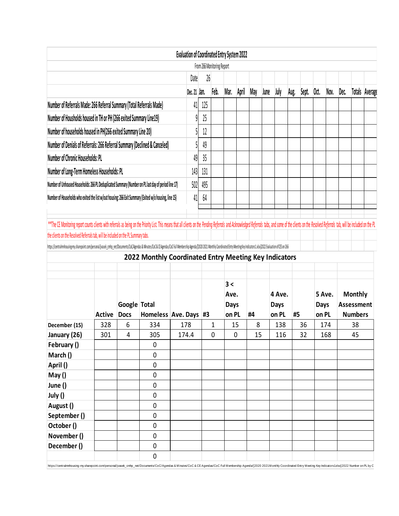|                                                                                                                                                                                                                                                                                                                                                                                                                                                                                       |               |              |                                                       |       | <b>Evaluation of Coordinated Entry System 2022</b> |     | From 266 Monitoring Report |                            |       |     |      |                       |      |       |             |        |      |                                     |  |
|---------------------------------------------------------------------------------------------------------------------------------------------------------------------------------------------------------------------------------------------------------------------------------------------------------------------------------------------------------------------------------------------------------------------------------------------------------------------------------------|---------------|--------------|-------------------------------------------------------|-------|----------------------------------------------------|-----|----------------------------|----------------------------|-------|-----|------|-----------------------|------|-------|-------------|--------|------|-------------------------------------|--|
|                                                                                                                                                                                                                                                                                                                                                                                                                                                                                       |               |              | Date                                                  | 26    |                                                    |     |                            |                            |       |     |      |                       |      |       |             |        |      |                                     |  |
|                                                                                                                                                                                                                                                                                                                                                                                                                                                                                       |               |              |                                                       |       | Dec. 21 Jan.                                       |     | Feb.                       | Mar.                       | April | May | June | July                  | Aug. | Sept. | Oct.        | Nov.   | Dec. | Totals Average                      |  |
| Number of Referrals Made: 266 Referral Summary (Total Referrals Made)                                                                                                                                                                                                                                                                                                                                                                                                                 |               | 41           | 125                                                   |       |                                                    |     |                            |                            |       |     |      |                       |      |       |             |        |      |                                     |  |
| Number of Housholds housed in TH or PH (266 exited Summary Line19)                                                                                                                                                                                                                                                                                                                                                                                                                    |               | g            | 25                                                    |       |                                                    |     |                            |                            |       |     |      |                       |      |       |             |        |      |                                     |  |
| Number of households housed in PH(266 exited Summary Line 20)                                                                                                                                                                                                                                                                                                                                                                                                                         |               |              |                                                       |       |                                                    | 12  |                            |                            |       |     |      |                       |      |       |             |        |      |                                     |  |
| Number of Denials of Referrals: 266 Referral Summary (Declined & Canceled)                                                                                                                                                                                                                                                                                                                                                                                                            |               |              |                                                       |       |                                                    | 49  |                            |                            |       |     |      |                       |      |       |             |        |      |                                     |  |
| Number of Chronic Households: PL                                                                                                                                                                                                                                                                                                                                                                                                                                                      |               |              |                                                       |       | 49                                                 | 35  |                            |                            |       |     |      |                       |      |       |             |        |      |                                     |  |
| Number of Long-Term Homeless Households: PL                                                                                                                                                                                                                                                                                                                                                                                                                                           |               |              |                                                       |       | 143                                                | 131 |                            |                            |       |     |      |                       |      |       |             |        |      |                                     |  |
| Number of Unhoused Households: 266 PL Deduplicated Summary (Number on PL last day of period line 17)                                                                                                                                                                                                                                                                                                                                                                                  |               |              |                                                       |       | 502                                                | 495 |                            |                            |       |     |      |                       |      |       |             |        |      |                                     |  |
| Number of Households who exited the list w/out housing: 266 Exit Summary (Exited w/o housing, line 15)                                                                                                                                                                                                                                                                                                                                                                                |               |              |                                                       |       | 41                                                 | 64  |                            |                            |       |     |      |                       |      |       |             |        |      |                                     |  |
|                                                                                                                                                                                                                                                                                                                                                                                                                                                                                       |               |              |                                                       |       |                                                    |     |                            |                            |       |     |      |                       |      |       |             |        |      |                                     |  |
|                                                                                                                                                                                                                                                                                                                                                                                                                                                                                       |               |              |                                                       |       |                                                    |     |                            |                            |       |     |      |                       |      |       |             |        |      |                                     |  |
|                                                                                                                                                                                                                                                                                                                                                                                                                                                                                       |               | Google Total | 2022 Monthly Coordinated Entry Meeting Key Indicators |       |                                                    |     |                            | 3 <<br>Ave.<br><b>Days</b> |       |     |      | 4 Ave.<br><b>Days</b> |      |       | <b>Days</b> | 5 Ave. |      | <b>Monthly</b><br><b>Assessment</b> |  |
|                                                                                                                                                                                                                                                                                                                                                                                                                                                                                       | <b>Active</b> | <b>Docs</b>  | Homeless Ave. Days #3                                 |       |                                                    |     |                            | on PL                      |       | #4  |      | on PL                 | #5   |       | on PL       |        |      | <b>Numbers</b>                      |  |
|                                                                                                                                                                                                                                                                                                                                                                                                                                                                                       | 328           | 6            | 334                                                   | 178   |                                                    |     | 1                          |                            | 15    | 8   |      | 138                   |      | 36    |             | 174    |      | 38                                  |  |
|                                                                                                                                                                                                                                                                                                                                                                                                                                                                                       | 301           | 4            | 305                                                   | 174.4 |                                                    |     | 0                          |                            | 0     | 15  |      | 116                   |      | 32    |             | 168    |      | 45                                  |  |
|                                                                                                                                                                                                                                                                                                                                                                                                                                                                                       |               |              | $\pmb{0}$                                             |       |                                                    |     |                            |                            |       |     |      |                       |      |       |             |        |      |                                     |  |
|                                                                                                                                                                                                                                                                                                                                                                                                                                                                                       |               |              | 0                                                     |       |                                                    |     |                            |                            |       |     |      |                       |      |       |             |        |      |                                     |  |
|                                                                                                                                                                                                                                                                                                                                                                                                                                                                                       |               |              | 0                                                     |       |                                                    |     |                            |                            |       |     |      |                       |      |       |             |        |      |                                     |  |
|                                                                                                                                                                                                                                                                                                                                                                                                                                                                                       |               |              | 0<br>0                                                |       |                                                    |     |                            |                            |       |     |      |                       |      |       |             |        |      |                                     |  |
|                                                                                                                                                                                                                                                                                                                                                                                                                                                                                       |               |              | 0                                                     |       |                                                    |     |                            |                            |       |     |      |                       |      |       |             |        |      |                                     |  |
|                                                                                                                                                                                                                                                                                                                                                                                                                                                                                       |               |              | 0                                                     |       |                                                    |     |                            |                            |       |     |      |                       |      |       |             |        |      |                                     |  |
|                                                                                                                                                                                                                                                                                                                                                                                                                                                                                       |               |              | 0                                                     |       |                                                    |     |                            |                            |       |     |      |                       |      |       |             |        |      |                                     |  |
|                                                                                                                                                                                                                                                                                                                                                                                                                                                                                       |               |              | 0                                                     |       |                                                    |     |                            |                            |       |     |      |                       |      |       |             |        |      |                                     |  |
| the clients on the Resolved Referrals tab, will be included on the PL Summary tabs.<br>https://centralmnhousing-my.sharepoint.com/personal/jvasek_cmhp_net/Documents/CoC/legendas& Minutes/CoC& CEAgendas/CoCFull Membership Agenda/2020 2021 Monthly Coordinated Entry Meeting Key Indicators1.xlsx]2022 Evaluation<br>December (15)<br>January (26)<br>February ()<br>March ()<br>April ()<br>May ()<br>June ()<br>July ()<br>August ()<br>September ()<br>October()<br>November () |               |              | 0                                                     |       |                                                    |     |                            |                            |       |     |      |                       |      |       |             |        |      |                                     |  |